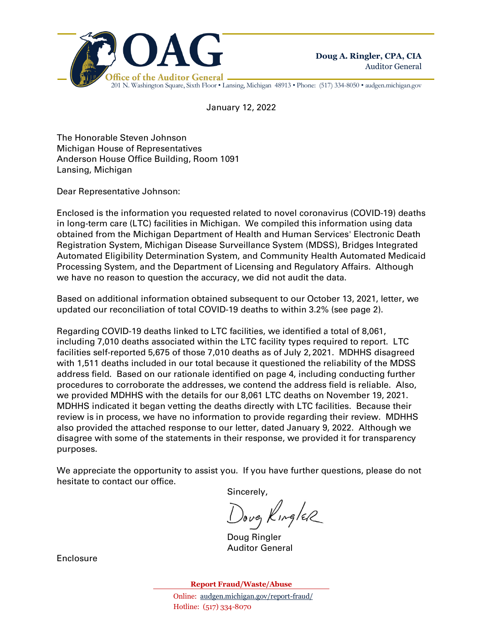

201 N. Washington Square, Sixth Floor • Lansing, Michigan 48913 • Phone: (517) 334-8050 • audgen.michigan.gov

January 12, 2022

The Honorable Steven Johnson Michigan House of Representatives Anderson House Office Building, Room 1091 Lansing, Michigan

Dear Representative Johnson:

Enclosed is the information you requested related to novel coronavirus (COVID-19) deaths in long-term care (LTC) facilities in Michigan. We compiled this information using data obtained from the Michigan Department of Health and Human Services' Electronic Death Registration System, Michigan Disease Surveillance System (MDSS), Bridges Integrated Automated Eligibility Determination System, and Community Health Automated Medicaid Processing System, and the Department of Licensing and Regulatory Affairs. Although we have no reason to question the accuracy, we did not audit the data.

Based on additional information obtained subsequent to our October 13, 2021, letter, we updated our reconciliation of total COVID-19 deaths to within 3.2% (see page 2).

Regarding COVID-19 deaths linked to LTC facilities, we identified a total of 8,061, including 7,010 deaths associated within the LTC facility types required to report. LTC facilities self-reported 5,675 of those 7,010 deaths as of July 2, 2021. MDHHS disagreed with 1,511 deaths included in our total because it questioned the reliability of the MDSS address field. Based on our rationale identified on page 4, including conducting further procedures to corroborate the addresses, we contend the address field is reliable. Also, we provided MDHHS with the details for our 8,061 LTC deaths on November 19, 2021. MDHHS indicated it began vetting the deaths directly with LTC facilities. Because their review is in process, we have no information to provide regarding their review. MDHHS also provided the attached response to our letter, dated January 9, 2022. Although we disagree with some of the statements in their response, we provided it for transparency purposes.

We appreciate the opportunity to assist you. If you have further questions, please do not hesitate to contact our office.

Sincerely,

Dovey KingleR

Doug Ringler Auditor General

Enclosure

**Report Fraud/Waste/Abuse**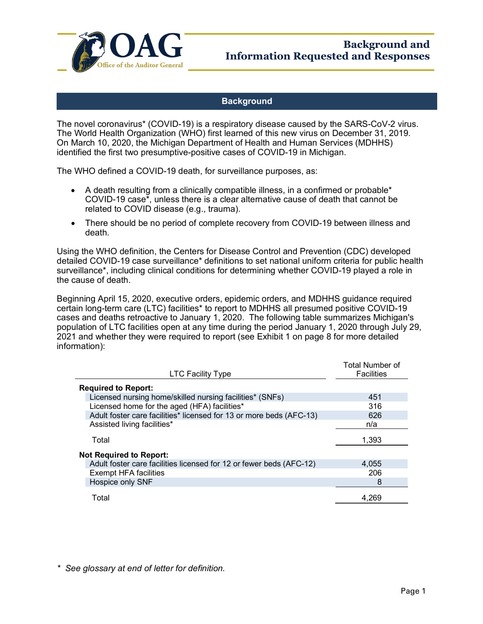

# **Background**

The novel coronavirus\* (COVID-19) is a respiratory disease caused by the SARS-CoV-2 virus. The World Health Organization (WHO) first learned of this new virus on December 31, 2019. On March 10, 2020, the Michigan Department of Health and Human Services (MDHHS) identified the first two presumptive-positive cases of COVID-19 in Michigan.

The WHO defined a COVID-19 death, for surveillance purposes, as:

- A death resulting from a clinically compatible illness, in a confirmed or probable\* COVID-19 case\*, unless there is a clear alternative cause of death that cannot be related to COVID disease (e.g., trauma).
- There should be no period of complete recovery from COVID-19 between illness and death.

Using the WHO definition, the Centers for Disease Control and Prevention (CDC) developed detailed COVID-19 case surveillance\* definitions to set national uniform criteria for public health surveillance\*, including clinical conditions for determining whether COVID-19 played a role in the cause of death.

Beginning April 15, 2020, executive orders, epidemic orders, and MDHHS guidance required certain long-term care (LTC) facilities\* to report to MDHHS all presumed positive COVID-19 cases and deaths retroactive to January 1, 2020. The following table summarizes Michigan's population of LTC facilities open at any time during the period January 1, 2020 through July 29, 2021 and whether they were required to report (see Exhibit 1 on page 8 for more detailed information):

| <b>LTC Facility Type</b>                                            | Total Number of<br><b>Facilities</b> |
|---------------------------------------------------------------------|--------------------------------------|
| <b>Required to Report:</b>                                          |                                      |
| Licensed nursing home/skilled nursing facilities* (SNFs)            | 451                                  |
| Licensed home for the aged (HFA) facilities*                        | 316                                  |
| Adult foster care facilities* licensed for 13 or more beds (AFC-13) | 626                                  |
| Assisted living facilities*                                         | n/a                                  |
| Total                                                               | 1,393                                |
| <b>Not Required to Report:</b>                                      |                                      |
| Adult foster care facilities licensed for 12 or fewer beds (AFC-12) | 4,055                                |
| <b>Exempt HFA facilities</b>                                        | 206                                  |
| Hospice only SNF                                                    | 8                                    |
| Total                                                               | 4.269                                |

*\* See glossary at end of letter for definition.*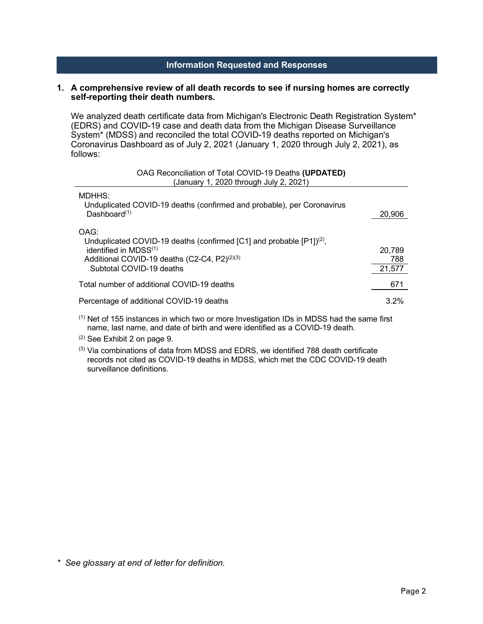## **Information Requested and Responses**

## **1. A comprehensive review of all death records to see if nursing homes are correctly self-reporting their death numbers.**

We analyzed death certificate data from Michigan's Electronic Death Registration System\* (EDRS) and COVID-19 case and death data from the Michigan Disease Surveillance System\* (MDSS) and reconciled the total COVID-19 deaths reported on Michigan's Coronavirus Dashboard as of July 2, 2021 (January 1, 2020 through July 2, 2021), as follows:

| OAG Reconciliation of Total COVID-19 Deaths (UPDATED)<br>(January 1, 2020 through July 2, 2021)                                                                                                   |                         |
|---------------------------------------------------------------------------------------------------------------------------------------------------------------------------------------------------|-------------------------|
| MDHHS:<br>Unduplicated COVID-19 deaths (confirmed and probable), per Coronavirus<br>Dashboard $(1)$                                                                                               | 20,906                  |
| OAG:<br>Unduplicated COVID-19 deaths (confirmed [C1] and probable $[P1]^{(2)}$ ,<br>identified in MDSS(1)<br>Additional COVID-19 deaths (C2-C4, P2) <sup>(2)(3)</sup><br>Subtotal COVID-19 deaths | 20.789<br>788<br>21.577 |
| Total number of additional COVID-19 deaths                                                                                                                                                        | 671                     |
| Percentage of additional COVID-19 deaths                                                                                                                                                          | 3.2%                    |

 $<sup>(1)</sup>$  Net of 155 instances in which two or more Investigation IDs in MDSS had the same first</sup> name, last name, and date of birth and were identified as a COVID-19 death.

(2) See Exhibit 2 on page 9.

(3) Via combinations of data from MDSS and EDRS, we identified 788 death certificate records not cited as COVID-19 deaths in MDSS, which met the CDC COVID-19 death surveillance definitions.

*\* See glossary at end of letter for definition.*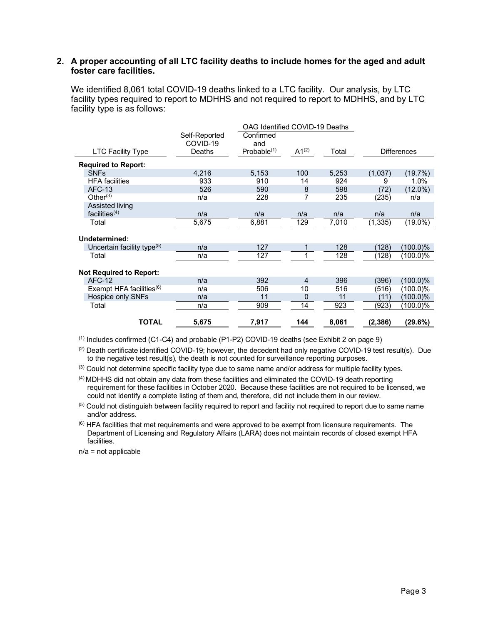## **2. A proper accounting of all LTC facility deaths to include homes for the aged and adult foster care facilities.**

We identified 8,061 total COVID-19 deaths linked to a LTC facility. Our analysis, by LTC facility types required to report to MDHHS and not required to report to MDHHS, and by LTC facility type is as follows:

|                                        |               | OAG Identified COVID-19 Deaths |                |       |          |                    |
|----------------------------------------|---------------|--------------------------------|----------------|-------|----------|--------------------|
|                                        | Self-Reported | Confirmed                      |                |       |          |                    |
|                                        | COVID-19      | and                            |                |       |          |                    |
| <b>LTC Facility Type</b>               | Deaths        | Probable <sup>(1)</sup>        | $A1^{(2)}$     | Total |          | <b>Differences</b> |
| <b>Required to Report:</b>             |               |                                |                |       |          |                    |
| <b>SNFs</b>                            | 4,216         | 5,153                          | 100            | 5,253 | (1,037)  | (19.7%)            |
| <b>HFA</b> facilities                  | 933           | 910                            | 14             | 924   | 9        | 1.0%               |
| <b>AFC-13</b>                          | 526           | 590                            | 8              | 598   | (72)     | $(12.0\%)$         |
| Other $(3)$                            | n/a           | 228                            |                | 235   | (235)    | n/a                |
| Assisted living                        |               |                                |                |       |          |                    |
| facilities <sup>(4)</sup>              | n/a           | n/a                            | n/a            | n/a   | n/a      | n/a                |
| Total                                  | 5,675         | 6,881                          | 129            | 7,010 | (1, 335) | $(19.0\%)$         |
|                                        |               |                                |                |       |          |                    |
| Undetermined:                          |               |                                |                |       |          |                    |
| Uncertain facility type <sup>(5)</sup> | n/a           | 127                            |                | 128   | 128)     | (100.0)%           |
| Total                                  | n/a           | 127                            |                | 128   | (128)    | (100.0)%           |
|                                        |               |                                |                |       |          |                    |
| <b>Not Required to Report:</b>         |               |                                |                |       |          |                    |
| $AFC-12$                               | n/a           | 392                            | $\overline{4}$ | 396   | (396)    | $(100.0)\%$        |
| Exempt HFA facilities $(6)$            | n/a           | 506                            | 10             | 516   | (516)    | (100.0)%           |
| Hospice only SNFs                      | n/a           | 11                             | $\Omega$       | 11    | (11)     | (100.0)%           |
| Total                                  | n/a           | 909                            | 14             | 923   | (923)    | (100.0)%           |
|                                        |               |                                |                |       |          |                    |
| <b>TOTAL</b>                           | 5,675         | 7,917                          | 144            | 8,061 | (2,386)  | (29.6%)            |

 $<sup>(1)</sup>$  Includes confirmed (C1-C4) and probable (P1-P2) COVID-19 deaths (see Exhibit 2 on page 9)</sup>

(2) Death certificate identified COVID-19; however, the decedent had only negative COVID-19 test result(s). Due to the negative test result(s), the death is not counted for surveillance reporting purposes.

 $<sup>(3)</sup>$  Could not determine specific facility type due to same name and/or address for multiple facility types.</sup>

(4) MDHHS did not obtain any data from these facilities and eliminated the COVID-19 death reporting requirement for these facilities in October 2020. Because these facilities are not required to be licensed, we could not identify a complete listing of them and, therefore, did not include them in our review.

<sup>(5)</sup> Could not distinguish between facility required to report and facility not required to report due to same name and/or address.

(6) HFA facilities that met requirements and were approved to be exempt from licensure requirements. The Department of Licensing and Regulatory Affairs (LARA) does not maintain records of closed exempt HFA facilities.

n/a = not applicable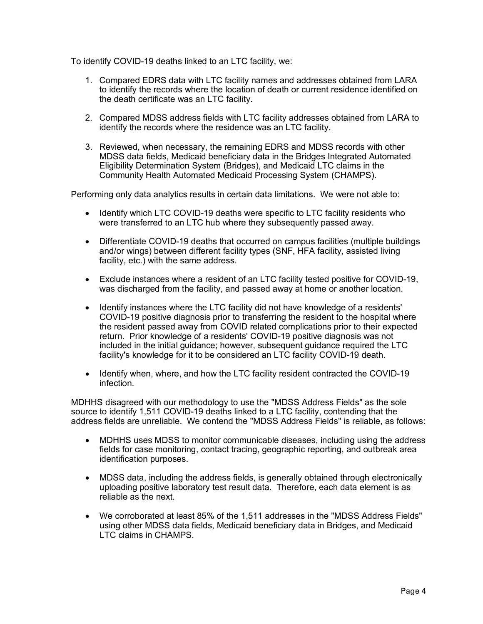To identify COVID-19 deaths linked to an LTC facility, we:

- 1. Compared EDRS data with LTC facility names and addresses obtained from LARA to identify the records where the location of death or current residence identified on the death certificate was an LTC facility.
- 2. Compared MDSS address fields with LTC facility addresses obtained from LARA to identify the records where the residence was an LTC facility.
- 3. Reviewed, when necessary, the remaining EDRS and MDSS records with other MDSS data fields, Medicaid beneficiary data in the Bridges Integrated Automated Eligibility Determination System (Bridges), and Medicaid LTC claims in the Community Health Automated Medicaid Processing System (CHAMPS).

Performing only data analytics results in certain data limitations. We were not able to:

- Identify which LTC COVID-19 deaths were specific to LTC facility residents who were transferred to an LTC hub where they subsequently passed away.
- Differentiate COVID-19 deaths that occurred on campus facilities (multiple buildings and/or wings) between different facility types (SNF, HFA facility, assisted living facility, etc.) with the same address.
- Exclude instances where a resident of an LTC facility tested positive for COVID-19, was discharged from the facility, and passed away at home or another location.
- Identify instances where the LTC facility did not have knowledge of a residents' COVID-19 positive diagnosis prior to transferring the resident to the hospital where the resident passed away from COVID related complications prior to their expected return. Prior knowledge of a residents' COVID-19 positive diagnosis was not included in the initial guidance; however, subsequent guidance required the LTC facility's knowledge for it to be considered an LTC facility COVID-19 death.
- Identify when, where, and how the LTC facility resident contracted the COVID-19 infection.

MDHHS disagreed with our methodology to use the "MDSS Address Fields" as the sole source to identify 1,511 COVID-19 deaths linked to a LTC facility, contending that the address fields are unreliable. We contend the "MDSS Address Fields" is reliable, as follows:

- MDHHS uses MDSS to monitor communicable diseases, including using the address fields for case monitoring, contact tracing, geographic reporting, and outbreak area identification purposes.
- MDSS data, including the address fields, is generally obtained through electronically uploading positive laboratory test result data. Therefore, each data element is as reliable as the next.
- We corroborated at least 85% of the 1,511 addresses in the "MDSS Address Fields" using other MDSS data fields, Medicaid beneficiary data in Bridges, and Medicaid LTC claims in CHAMPS.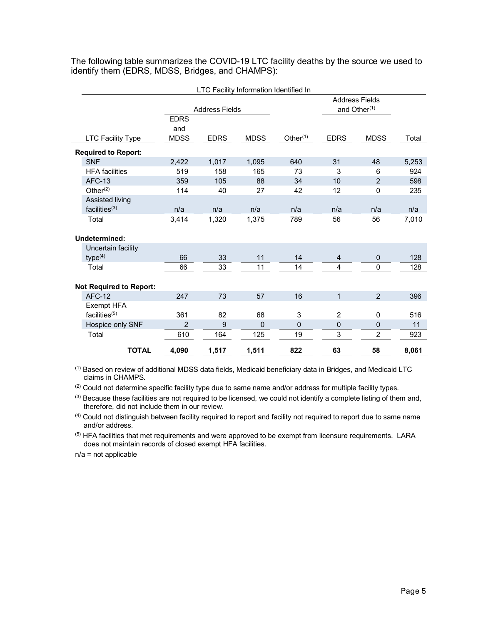The following table summarizes the COVID-19 LTC facility deaths by the source we used to identify them (EDRS, MDSS, Bridges, and CHAMPS):

| LTC Facility Information Identified In |                |                       |             |                |                |                          |       |
|----------------------------------------|----------------|-----------------------|-------------|----------------|----------------|--------------------------|-------|
|                                        |                |                       |             |                |                | <b>Address Fields</b>    |       |
|                                        |                | <b>Address Fields</b> |             |                |                | and Other <sup>(1)</sup> |       |
|                                        | <b>EDRS</b>    |                       |             |                |                |                          |       |
|                                        | and            |                       |             |                |                |                          |       |
| <b>LTC Facility Type</b>               | <b>MDSS</b>    | <b>EDRS</b>           | <b>MDSS</b> | Other $(1)$    | <b>EDRS</b>    | <b>MDSS</b>              | Total |
| <b>Required to Report:</b>             |                |                       |             |                |                |                          |       |
| <b>SNF</b>                             | 2,422          | 1,017                 | 1,095       | 640            | 31             | 48                       | 5,253 |
| <b>HFA</b> facilities                  | 519            | 158                   | 165         | 73             | 3              | 6                        | 924   |
| <b>AFC-13</b>                          | 359            | 105                   | 88          | 34             | 10             | $\overline{2}$           | 598   |
| Other $(2)$                            | 114            | 40                    | 27          | 42             | 12             | $\mathbf 0$              | 235   |
| Assisted living                        |                |                       |             |                |                |                          |       |
| facilities <sup>(3)</sup>              | n/a            | n/a                   | n/a         | n/a            | n/a            | n/a                      | n/a   |
| Total                                  | 3,414          | 1,320                 | 1,375       | 789            | 56             | 56                       | 7,010 |
|                                        |                |                       |             |                |                |                          |       |
| Undetermined:                          |                |                       |             |                |                |                          |       |
| Uncertain facility                     |                |                       |             |                |                |                          |       |
| type <sup>(4)</sup>                    | 66             | 33                    | 11          | 14             | 4              | $\overline{0}$           | 128   |
| Total                                  | 66             | 33                    | 11          | 14             | 4              | $\mathbf 0$              | 128   |
|                                        |                |                       |             |                |                |                          |       |
| <b>Not Required to Report:</b>         |                |                       |             |                |                |                          |       |
| <b>AFC-12</b>                          | 247            | 73                    | 57          | 16             | $\mathbf{1}$   | $\overline{2}$           | 396   |
| Exempt HFA                             |                |                       |             |                |                |                          |       |
| facilities(5)                          | 361            | 82                    | 68          | 3              | $\overline{2}$ | $\mathbf 0$              | 516   |
| Hospice only SNF                       | $\overline{2}$ | 9                     | 0           | $\overline{0}$ | 0              | $\mathbf 0$              | 11    |
| Total                                  | 610            | 164                   | 125         | 19             | 3              | $\overline{2}$           | 923   |
| <b>TOTAL</b>                           | 4,090          | 1,517                 | 1,511       | 822            | 63             | 58                       | 8,061 |

(1) Based on review of additional MDSS data fields, Medicaid beneficiary data in Bridges, and Medicaid LTC claims in CHAMPS.

 $(2)$  Could not determine specific facility type due to same name and/or address for multiple facility types.

 $(3)$  Because these facilities are not required to be licensed, we could not identify a complete listing of them and, therefore, did not include them in our review.

(4) Could not distinguish between facility required to report and facility not required to report due to same name and/or address.

<sup>(5)</sup> HFA facilities that met requirements and were approved to be exempt from licensure requirements. LARA does not maintain records of closed exempt HFA facilities.

n/a = not applicable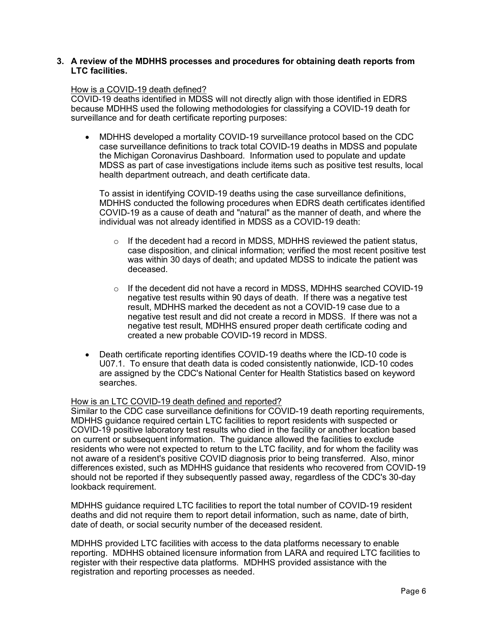#### **3. A review of the MDHHS processes and procedures for obtaining death reports from LTC facilities.**

#### How is a COVID-19 death defined?

COVID-19 deaths identified in MDSS will not directly align with those identified in EDRS because MDHHS used the following methodologies for classifying a COVID-19 death for surveillance and for death certificate reporting purposes:

• MDHHS developed a mortality COVID-19 surveillance protocol based on the CDC case surveillance definitions to track total COVID-19 deaths in MDSS and populate the Michigan Coronavirus Dashboard. Information used to populate and update MDSS as part of case investigations include items such as positive test results, local health department outreach, and death certificate data.

To assist in identifying COVID-19 deaths using the case surveillance definitions, MDHHS conducted the following procedures when EDRS death certificates identified COVID-19 as a cause of death and "natural" as the manner of death, and where the individual was not already identified in MDSS as a COVID-19 death:

- $\circ$  If the decedent had a record in MDSS, MDHHS reviewed the patient status, case disposition, and clinical information; verified the most recent positive test was within 30 days of death; and updated MDSS to indicate the patient was deceased.
- $\circ$  If the decedent did not have a record in MDSS, MDHHS searched COVID-19 negative test results within 90 days of death. If there was a negative test result, MDHHS marked the decedent as not a COVID-19 case due to a negative test result and did not create a record in MDSS. If there was not a negative test result, MDHHS ensured proper death certificate coding and created a new probable COVID-19 record in MDSS.
- Death certificate reporting identifies COVID-19 deaths where the ICD-10 code is U07.1. To ensure that death data is coded consistently nationwide, ICD-10 codes are assigned by the CDC's National Center for Health Statistics based on keyword searches.

## How is an LTC COVID-19 death defined and reported?

Similar to the CDC case surveillance definitions for COVID-19 death reporting requirements, MDHHS guidance required certain LTC facilities to report residents with suspected or COVID-19 positive laboratory test results who died in the facility or another location based on current or subsequent information. The guidance allowed the facilities to exclude residents who were not expected to return to the LTC facility, and for whom the facility was not aware of a resident's positive COVID diagnosis prior to being transferred. Also, minor differences existed, such as MDHHS guidance that residents who recovered from COVID-19 should not be reported if they subsequently passed away, regardless of the CDC's 30-day lookback requirement.

MDHHS guidance required LTC facilities to report the total number of COVID-19 resident deaths and did not require them to report detail information, such as name, date of birth, date of death, or social security number of the deceased resident.

MDHHS provided LTC facilities with access to the data platforms necessary to enable reporting. MDHHS obtained licensure information from LARA and required LTC facilities to register with their respective data platforms. MDHHS provided assistance with the registration and reporting processes as needed.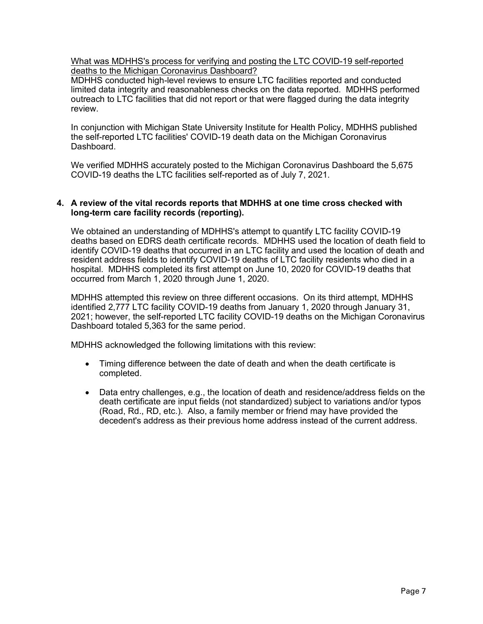What was MDHHS's process for verifying and posting the LTC COVID-19 self-reported deaths to the Michigan Coronavirus Dashboard?

MDHHS conducted high-level reviews to ensure LTC facilities reported and conducted limited data integrity and reasonableness checks on the data reported. MDHHS performed outreach to LTC facilities that did not report or that were flagged during the data integrity review.

In conjunction with Michigan State University Institute for Health Policy, MDHHS published the self-reported LTC facilities' COVID-19 death data on the Michigan Coronavirus Dashboard.

We verified MDHHS accurately posted to the Michigan Coronavirus Dashboard the 5,675 COVID-19 deaths the LTC facilities self-reported as of July 7, 2021.

## **4. A review of the vital records reports that MDHHS at one time cross checked with long-term care facility records (reporting).**

We obtained an understanding of MDHHS's attempt to quantify LTC facility COVID-19 deaths based on EDRS death certificate records. MDHHS used the location of death field to identify COVID-19 deaths that occurred in an LTC facility and used the location of death and resident address fields to identify COVID-19 deaths of LTC facility residents who died in a hospital. MDHHS completed its first attempt on June 10, 2020 for COVID-19 deaths that occurred from March 1, 2020 through June 1, 2020.

MDHHS attempted this review on three different occasions. On its third attempt, MDHHS identified 2,777 LTC facility COVID-19 deaths from January 1, 2020 through January 31, 2021; however, the self-reported LTC facility COVID-19 deaths on the Michigan Coronavirus Dashboard totaled 5,363 for the same period.

MDHHS acknowledged the following limitations with this review:

- Timing difference between the date of death and when the death certificate is completed.
- Data entry challenges, e.g., the location of death and residence/address fields on the death certificate are input fields (not standardized) subject to variations and/or typos (Road, Rd., RD, etc.). Also, a family member or friend may have provided the decedent's address as their previous home address instead of the current address.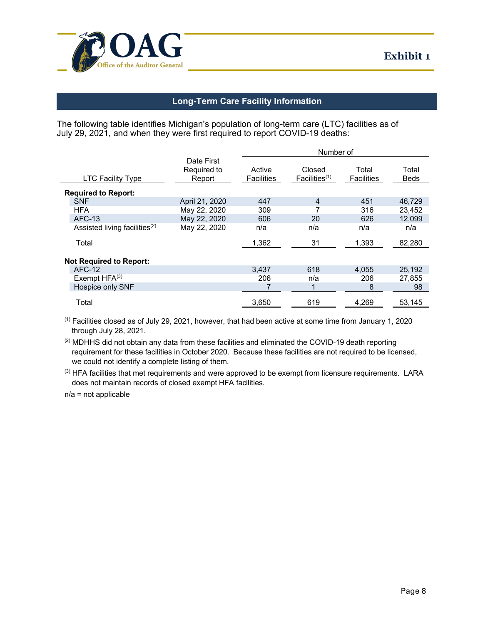

# **Long-Term Care Facility Information**

The following table identifies Michigan's population of long-term care (LTC) facilities as of July 29, 2021, and when they were first required to report COVID-19 deaths:

|                                  |                                     | Number of                   |                                     |                            |                      |  |
|----------------------------------|-------------------------------------|-----------------------------|-------------------------------------|----------------------------|----------------------|--|
| <b>LTC Facility Type</b>         | Date First<br>Required to<br>Report | Active<br><b>Facilities</b> | Closed<br>Facilities <sup>(1)</sup> | Total<br><b>Facilities</b> | Total<br><b>Beds</b> |  |
| <b>Required to Report:</b>       |                                     |                             |                                     |                            |                      |  |
| <b>SNF</b>                       | April 21, 2020                      | 447                         | 4                                   | 451                        | 46,729               |  |
| <b>HFA</b>                       | May 22, 2020                        | 309                         |                                     | 316                        | 23,452               |  |
| <b>AFC-13</b>                    | May 22, 2020                        | 606                         | 20                                  | 626                        | 12,099               |  |
| Assisted living facilities $(2)$ | May 22, 2020                        | n/a                         | n/a                                 | n/a                        | n/a                  |  |
| Total                            |                                     | 1,362                       | 31                                  | 1,393                      | 82,280               |  |
| <b>Not Required to Report:</b>   |                                     |                             |                                     |                            |                      |  |
| <b>AFC-12</b>                    |                                     | 3,437                       | 618                                 | 4,055                      | 25,192               |  |
| Exempt $HFA^{(3)}$               |                                     | 206                         | n/a                                 | 206                        | 27.855               |  |
| Hospice only SNF                 |                                     |                             |                                     | 8                          | 98                   |  |
| Total                            |                                     | 3,650                       | 619                                 | 4,269                      | 53,145               |  |

 $(1)$  Facilities closed as of July 29, 2021, however, that had been active at some time from January 1, 2020 through July 28, 2021.

<sup>(2)</sup> MDHHS did not obtain any data from these facilities and eliminated the COVID-19 death reporting requirement for these facilities in October 2020. Because these facilities are not required to be licensed, we could not identify a complete listing of them.

(3) HFA facilities that met requirements and were approved to be exempt from licensure requirements. LARA does not maintain records of closed exempt HFA facilities.

n/a = not applicable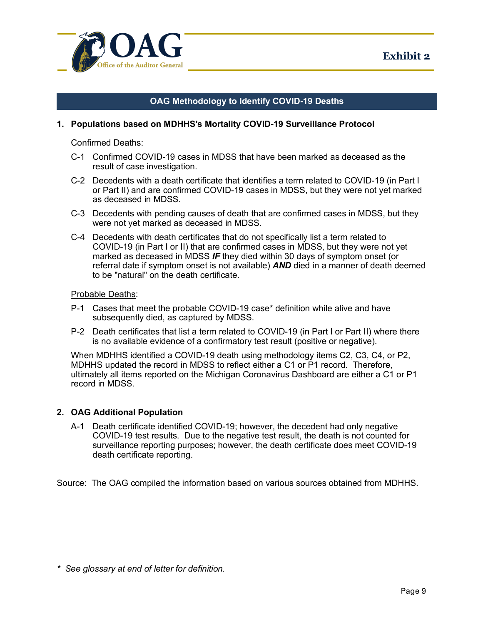

# **OAG Methodology to Identify COVID-19 Deaths**

#### **1. Populations based on MDHHS's Mortality COVID-19 Surveillance Protocol**

Confirmed Deaths:

- C-1 Confirmed COVID-19 cases in MDSS that have been marked as deceased as the result of case investigation.
- C-2 Decedents with a death certificate that identifies a term related to COVID-19 (in Part I or Part II) and are confirmed COVID-19 cases in MDSS, but they were not yet marked as deceased in MDSS.
- C-3 Decedents with pending causes of death that are confirmed cases in MDSS, but they were not yet marked as deceased in MDSS.
- C-4 Decedents with death certificates that do not specifically list a term related to COVID-19 (in Part I or II) that are confirmed cases in MDSS, but they were not yet marked as deceased in MDSS *IF* they died within 30 days of symptom onset (or referral date if symptom onset is not available) *AND* died in a manner of death deemed to be "natural" on the death certificate.

Probable Deaths:

- P-1 Cases that meet the probable COVID-19 case\* definition while alive and have subsequently died, as captured by MDSS.
- P-2 Death certificates that list a term related to COVID-19 (in Part I or Part II) where there is no available evidence of a confirmatory test result (positive or negative).

When MDHHS identified a COVID-19 death using methodology items C2, C3, C4, or P2, MDHHS updated the record in MDSS to reflect either a C1 or P1 record. Therefore, ultimately all items reported on the Michigan Coronavirus Dashboard are either a C1 or P1 record in MDSS.

## **2. OAG Additional Population**

A-1 Death certificate identified COVID-19; however, the decedent had only negative COVID-19 test results. Due to the negative test result, the death is not counted for surveillance reporting purposes; however, the death certificate does meet COVID-19 death certificate reporting.

Source: The OAG compiled the information based on various sources obtained from MDHHS.

*\* See glossary at end of letter for definition.*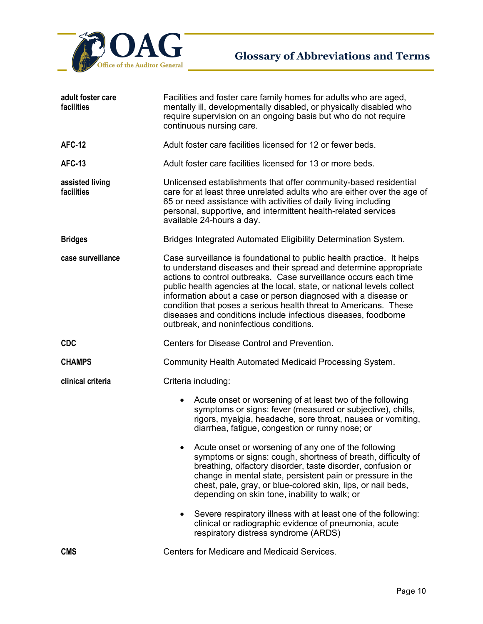

| adult foster care<br>facilities | Facilities and foster care family homes for adults who are aged,<br>mentally ill, developmentally disabled, or physically disabled who<br>require supervision on an ongoing basis but who do not require<br>continuous nursing care.                                                                                                                                                                                                                                                                                                        |  |  |  |
|---------------------------------|---------------------------------------------------------------------------------------------------------------------------------------------------------------------------------------------------------------------------------------------------------------------------------------------------------------------------------------------------------------------------------------------------------------------------------------------------------------------------------------------------------------------------------------------|--|--|--|
| <b>AFC-12</b>                   | Adult foster care facilities licensed for 12 or fewer beds.                                                                                                                                                                                                                                                                                                                                                                                                                                                                                 |  |  |  |
| <b>AFC-13</b>                   | Adult foster care facilities licensed for 13 or more beds.                                                                                                                                                                                                                                                                                                                                                                                                                                                                                  |  |  |  |
| assisted living<br>facilities   | Unlicensed establishments that offer community-based residential<br>care for at least three unrelated adults who are either over the age of<br>65 or need assistance with activities of daily living including<br>personal, supportive, and intermittent health-related services<br>available 24-hours a day.                                                                                                                                                                                                                               |  |  |  |
| <b>Bridges</b>                  | Bridges Integrated Automated Eligibility Determination System.                                                                                                                                                                                                                                                                                                                                                                                                                                                                              |  |  |  |
| case surveillance               | Case surveillance is foundational to public health practice. It helps<br>to understand diseases and their spread and determine appropriate<br>actions to control outbreaks. Case surveillance occurs each time<br>public health agencies at the local, state, or national levels collect<br>information about a case or person diagnosed with a disease or<br>condition that poses a serious health threat to Americans. These<br>diseases and conditions include infectious diseases, foodborne<br>outbreak, and noninfectious conditions. |  |  |  |
| <b>CDC</b>                      | Centers for Disease Control and Prevention.                                                                                                                                                                                                                                                                                                                                                                                                                                                                                                 |  |  |  |
| <b>CHAMPS</b>                   | Community Health Automated Medicaid Processing System.                                                                                                                                                                                                                                                                                                                                                                                                                                                                                      |  |  |  |
| clinical criteria               | Criteria including:                                                                                                                                                                                                                                                                                                                                                                                                                                                                                                                         |  |  |  |
|                                 | Acute onset or worsening of at least two of the following<br>$\bullet$<br>symptoms or signs: fever (measured or subjective), chills,<br>rigors, myalgia, headache, sore throat, nausea or vomiting,<br>diarrhea, fatigue, congestion or runny nose; or<br>Acute onset or worsening of any one of the following<br>symptoms or signs: cough, shortness of breath, difficulty of<br>breathing, olfactory disorder, taste disorder, confusion or<br>change in mental state, persistent pain or pressure in the                                 |  |  |  |
|                                 | chest, pale, gray, or blue-colored skin, lips, or nail beds,<br>depending on skin tone, inability to walk; or                                                                                                                                                                                                                                                                                                                                                                                                                               |  |  |  |
|                                 | Severe respiratory illness with at least one of the following:<br>$\bullet$<br>clinical or radiographic evidence of pneumonia, acute<br>respiratory distress syndrome (ARDS)                                                                                                                                                                                                                                                                                                                                                                |  |  |  |
| <b>CMS</b>                      | <b>Centers for Medicare and Medicaid Services.</b>                                                                                                                                                                                                                                                                                                                                                                                                                                                                                          |  |  |  |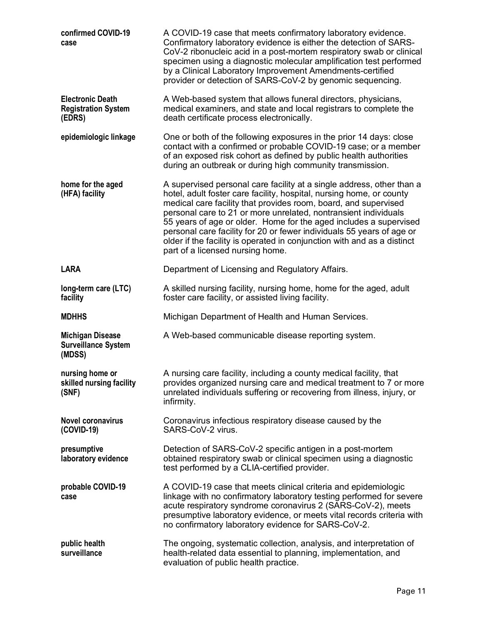| confirmed COVID-19<br>case                                      | A COVID-19 case that meets confirmatory laboratory evidence.<br>Confirmatory laboratory evidence is either the detection of SARS-<br>CoV-2 ribonucleic acid in a post-mortem respiratory swab or clinical<br>specimen using a diagnostic molecular amplification test performed<br>by a Clinical Laboratory Improvement Amendments-certified<br>provider or detection of SARS-CoV-2 by genomic sequencing.                                                                                                                                       |
|-----------------------------------------------------------------|--------------------------------------------------------------------------------------------------------------------------------------------------------------------------------------------------------------------------------------------------------------------------------------------------------------------------------------------------------------------------------------------------------------------------------------------------------------------------------------------------------------------------------------------------|
| <b>Electronic Death</b><br><b>Registration System</b><br>(EDRS) | A Web-based system that allows funeral directors, physicians,<br>medical examiners, and state and local registrars to complete the<br>death certificate process electronically.                                                                                                                                                                                                                                                                                                                                                                  |
| epidemiologic linkage                                           | One or both of the following exposures in the prior 14 days: close<br>contact with a confirmed or probable COVID-19 case; or a member<br>of an exposed risk cohort as defined by public health authorities<br>during an outbreak or during high community transmission.                                                                                                                                                                                                                                                                          |
| home for the aged<br>(HFA) facility                             | A supervised personal care facility at a single address, other than a<br>hotel, adult foster care facility, hospital, nursing home, or county<br>medical care facility that provides room, board, and supervised<br>personal care to 21 or more unrelated, nontransient individuals<br>55 years of age or older. Home for the aged includes a supervised<br>personal care facility for 20 or fewer individuals 55 years of age or<br>older if the facility is operated in conjunction with and as a distinct<br>part of a licensed nursing home. |
| <b>LARA</b>                                                     | Department of Licensing and Regulatory Affairs.                                                                                                                                                                                                                                                                                                                                                                                                                                                                                                  |
| long-term care (LTC)<br>facility                                | A skilled nursing facility, nursing home, home for the aged, adult<br>foster care facility, or assisted living facility.                                                                                                                                                                                                                                                                                                                                                                                                                         |
| <b>MDHHS</b>                                                    | Michigan Department of Health and Human Services.                                                                                                                                                                                                                                                                                                                                                                                                                                                                                                |
| <b>Michigan Disease</b><br><b>Surveillance System</b><br>(MDSS) | A Web-based communicable disease reporting system.                                                                                                                                                                                                                                                                                                                                                                                                                                                                                               |
| nursing home or<br>skilled nursing facility<br>(SNF)            | A nursing care facility, including a county medical facility, that<br>provides organized nursing care and medical treatment to 7 or more<br>unrelated individuals suffering or recovering from illness, injury, or<br>infirmity.                                                                                                                                                                                                                                                                                                                 |
| <b>Novel coronavirus</b><br>(COVID-19)                          | Coronavirus infectious respiratory disease caused by the<br>SARS-CoV-2 virus.                                                                                                                                                                                                                                                                                                                                                                                                                                                                    |
| presumptive<br>laboratory evidence                              | Detection of SARS-CoV-2 specific antigen in a post-mortem<br>obtained respiratory swab or clinical specimen using a diagnostic<br>test performed by a CLIA-certified provider.                                                                                                                                                                                                                                                                                                                                                                   |
| probable COVID-19<br>case                                       | A COVID-19 case that meets clinical criteria and epidemiologic<br>linkage with no confirmatory laboratory testing performed for severe<br>acute respiratory syndrome coronavirus 2 (SARS-CoV-2), meets<br>presumptive laboratory evidence, or meets vital records criteria with<br>no confirmatory laboratory evidence for SARS-CoV-2.                                                                                                                                                                                                           |
| public health<br>surveillance                                   | The ongoing, systematic collection, analysis, and interpretation of<br>health-related data essential to planning, implementation, and<br>evaluation of public health practice.                                                                                                                                                                                                                                                                                                                                                                   |